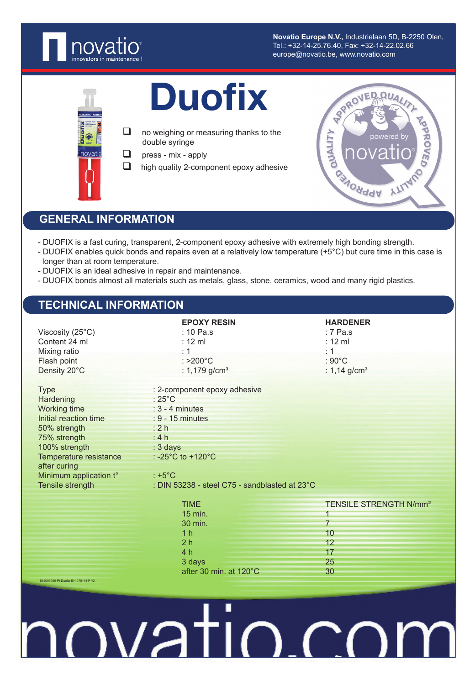

**Novatio Europe N.V.,** Industrielaan 5D, B-2250 Olen, Tel.: +32-14-25.76.40, Fax: +32-14-22.02.66 europe@novatio.be, www.novatio.com



## Duofix

- $\Box$  no weighing or measuring thanks to the double syringe
- $\Box$  press mix apply
- $\Box$  high quality 2-component epoxy adhesive



### **GENERAL INFORMATION**

- DUOFIX is a fast curing, transparent, 2-component epoxy adhesive with extremely high bonding strength.
- DUOFIX enables quick bonds and repairs even at a relatively low temperature (+5°C) but cure time in this case is longer than at room temperature.
- DUOFIX is an ideal adhesive in repair and maintenance.
- DUOFIX bonds almost all materials such as metals, glass, stone, ceramics, wood and many rigid plastics.

### **TECHNICAL INFORMATION**

| Viscosity $(25^{\circ}C)$<br>Content 24 ml<br>Mixing ratio<br>Flash point<br>Density 20°C                                                                                                                  | <b>EPOXY RESIN</b><br>$: 10$ Pa.s<br>$: 12 \text{ ml}$<br>: 1<br>: >200°C<br>: $1,179$ g/cm <sup>3</sup>                                                                                                         | <b>HARDENER</b><br>$: 7$ Pa.s<br>$: 12 \text{ ml}$<br>: 1<br>: $90^{\circ}$ C<br>: $1,14$ g/cm <sup>3</sup> |
|------------------------------------------------------------------------------------------------------------------------------------------------------------------------------------------------------------|------------------------------------------------------------------------------------------------------------------------------------------------------------------------------------------------------------------|-------------------------------------------------------------------------------------------------------------|
| <b>Type</b><br>Hardening<br>Working time<br>Initial reaction time<br>50% strength<br>75% strength<br>100% strength<br>Temperature resistance<br>after curing<br>Minimum application t°<br>Tensile strength | : 2-component epoxy adhesive<br>$:25^{\circ}$ C<br>$: 3 - 4$ minutes<br>$: 9 - 15$ minutes<br>: 2h<br>: 4h<br>: 3 days<br>: -25°C to +120°C<br>: $+5^{\circ}$ C<br>: DIN 53238 - steel C75 - sandblasted at 23°C |                                                                                                             |
| 512005000-PI-Duofix-EN-070114-P1/2                                                                                                                                                                         | <b>TIME</b><br>15 min.<br>30 min.<br>1 <sub>h</sub><br>2 <sub>h</sub><br>4 h<br>3 days<br>after 30 min. at 120°C                                                                                                 | <b>TENSILE STRENGTH N/mm<sup>2</sup></b><br>$\overline{7}$<br>10<br>12<br>17<br>25<br>30                    |

# novatio.co